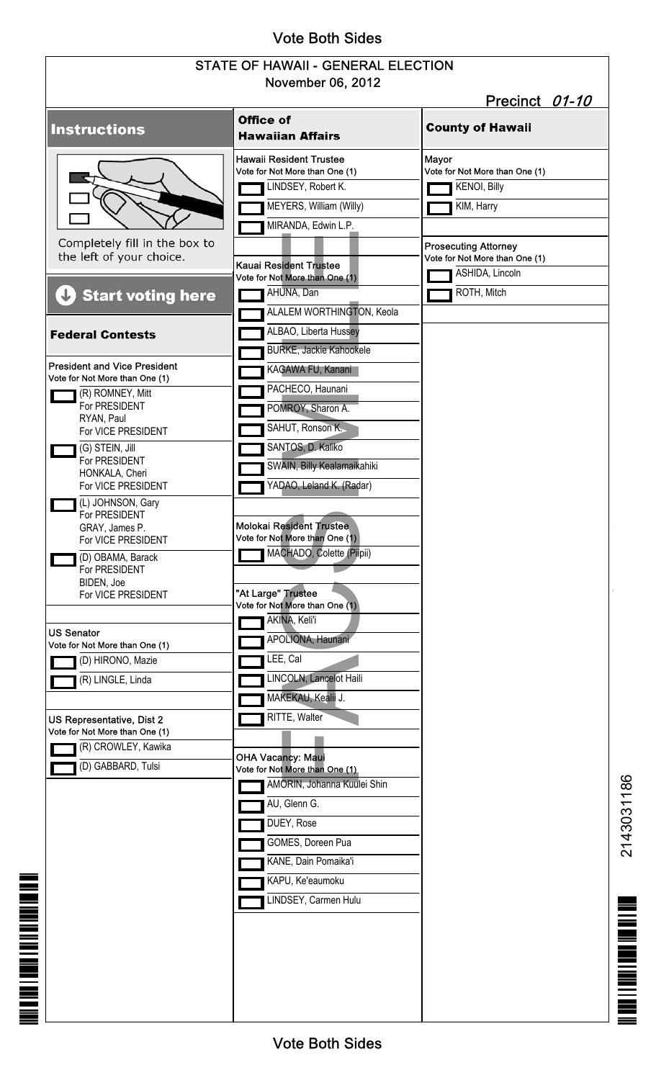# Vote Both Sides

### STATE OF HAWAII - GENERAL ELECTION November 06, 2012

| NOVEMBER UD, ZUTZ<br>Precinct 01-10                                                       |                                                                                                           |                                                         |
|-------------------------------------------------------------------------------------------|-----------------------------------------------------------------------------------------------------------|---------------------------------------------------------|
| <b>Instructions</b>                                                                       | Office of<br><b>Hawaiian Affairs</b>                                                                      | <b>County of Hawaii</b>                                 |
|                                                                                           | <b>Hawaii Resident Trustee</b><br>Vote for Not More than One (1)<br>LINDSEY, Robert K.                    | Mayor<br>Vote for Not More than One (1)<br>KENOI, Billy |
| Completely fill in the box to                                                             | MEYERS, William (Willy)<br>MIRANDA, Edwin L.P.                                                            | KIM, Harry<br><b>Prosecuting Attorney</b>               |
| the left of your choice.                                                                  | <b>Kauai Resident Trustee</b><br>Vote for Not More than One (1)                                           | Vote for Not More than One (1)<br>ASHIDA, Lincoln       |
| <b>Start voting here</b><br>J                                                             | AHUNA, Dan<br>ALALEM WORTHINGTON, Keola                                                                   | ROTH, Mitch                                             |
| <b>Federal Contests</b>                                                                   | ALBAO, Liberta Hussey<br><b>BURKE, Jackie Kahookele</b>                                                   |                                                         |
| <b>President and Vice President</b><br>Vote for Not More than One (1)<br>(R) ROMNEY, Mitt | KAGAWA FU, Kanani<br>PACHECO, Haunani                                                                     |                                                         |
| For PRESIDENT<br>RYAN, Paul<br>For VICE PRESIDENT                                         | POMROY, Sharon A.<br>SAHUT, Ronson K.                                                                     |                                                         |
| (G) STEIN, Jill<br>For PRESIDENT<br>HONKALA, Cheri<br>For VICE PRESIDENT                  | SANTOS, D. Kaliko<br>SWAIN, Billy Kealamaikahiki<br>YADAO, Leland K. (Radar)                              |                                                         |
| (L) JOHNSON, Gary<br>For PRESIDENT<br>GRAY, James P.<br>For VICE PRESIDENT                | <b>Molokai Resident Trustee</b><br>Vote for Not More than One (1)                                         |                                                         |
| (D) OBAMA, Barack<br>For PRESIDENT<br>BIDEN, Joe<br>For VICE PRESIDENT                    | MACHADO, Colette (Pilpii)<br>"At Large" Trustee                                                           |                                                         |
| <b>US Senator</b>                                                                         | Vote for Not More than One (1)<br>AKINA, Keli'i<br>APOLIONA, Haunani                                      |                                                         |
| Vote for Not More than One (1)<br>(D) HIRONO, Mazie<br>(R) LINGLE, Linda                  | LEE, Cal<br><b>INCOLN, Lancelot Haili</b>                                                                 |                                                         |
|                                                                                           | MAKEKAU, Kealii J.<br>RITTE, Walter                                                                       |                                                         |
| US Representative, Dist 2<br>Vote for Not More than One (1)<br>(R) CROWLEY, Kawika        |                                                                                                           |                                                         |
| (D) GABBARD, Tulsi                                                                        | <b>OHA Vacancy: Maui</b><br>Vote for Not More than One (1)<br>AMORIN, Johanna Kuulei Shin<br>AU, Glenn G. |                                                         |
|                                                                                           | DUEY, Rose<br>GOMES, Doreen Pua                                                                           |                                                         |
|                                                                                           | KANE, Dain Pomaika'i<br>KAPU, Ke'eaumoku                                                                  |                                                         |
|                                                                                           | INDSEY, Carmen Hulu                                                                                       |                                                         |
|                                                                                           |                                                                                                           |                                                         |
|                                                                                           |                                                                                                           |                                                         |

**IN A DISTRICT OF A DISTRICT OF A DISTRICT** 

2143031186

 $\begin{array}{c}\n\textbf{1.53}\n\\
\textbf{2.43}\n\\
\textbf{3.51}\n\end{array}$